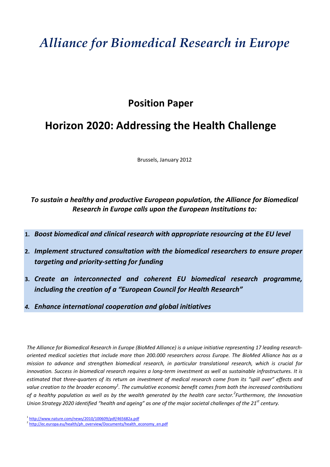# *Alliance for Biomedical Research in Europe*

# Position Paper

# Horizon 2020: Addressing the Health Challenge

Brussels, January 2012

To sustain a healthy and productive European population, the Alliance for Biomedical Research in Europe calls upon the European Institutions to:

- 1. Boost biomedical and clinical research with appropriate resourcing at the EU level
- 2. Implement structured consultation with the biomedical researchers to ensure proper targeting and priority-setting for funding
- 3. Create an interconnected and coherent EU biomedical research programme, including the creation of a "European Council for Health Research"
- 4. Enhance international cooperation and global initiatives

The Alliance for Biomedical Research in Europe (BioMed Alliance) is a unique initiative representing 17 leading researchoriented medical societies that include more than 200.000 researchers across Europe. The BioMed Alliance has as a mission to advance and strengthen biomedical research, in particular translational research, which is crucial for innovation. Success in biomedical research requires a long-term investment as well as sustainable infrastructures. It is estimated that three-quarters of its return on investment of medical research come from its "spill over" effects and value creation to the broader economy $^1$ . The cumulative economic benefit comes from both the increased contributions of a healthy population as well as by the wealth generated by the health care sector.<sup>2</sup>Furthermore, the Innovation Union Strategy 2020 identified "health and ageing" as one of the major societal challenges of the 21<sup>st</sup> century.

<sup>1</sup> http://www.nature.com/news/2010/100609/pdf/465682a.pdf

<sup>&</sup>lt;sup>2</sup> http://ec.europa.eu/health/ph\_overview/Documents/health\_economy\_en.pdf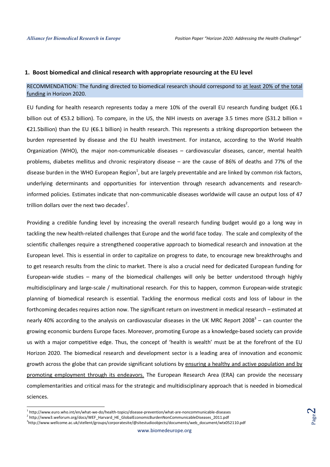Page  $\boldsymbol{\sim}$ 

#### 1. Boost biomedical and clinical research with appropriate resourcing at the EU level

### RECOMMENDATION: The funding directed to biomedical research should correspond to at least 20% of the total funding in Horizon 2020.

EU funding for health research represents today a mere 10% of the overall EU research funding budget (€6.1 billion out of €53.2 billion). To compare, in the US, the NIH invests on average 3.5 times more (\$31.2 billion = €21.5billion) than the EU (€6.1 billion) in health research. This represents a striking disproportion between the burden represented by disease and the EU health investment. For instance, according to the World Health Organization (WHO), the major non-communicable diseases – cardiovascular diseases, cancer, mental health problems, diabetes mellitus and chronic respiratory disease – are the cause of 86% of deaths and 77% of the disease burden in the WHO European Region<sup>1</sup>, but are largely preventable and are linked by common risk factors, underlying determinants and opportunities for intervention through research advancements and researchinformed policies. Estimates indicate that non-communicable diseases worldwide will cause an output loss of 47 trillion dollars over the next two decades<sup>2</sup>.

Providing a credible funding level by increasing the overall research funding budget would go a long way in tackling the new health-related challenges that Europe and the world face today. The scale and complexity of the scientific challenges require a strengthened cooperative approach to biomedical research and innovation at the European level. This is essential in order to capitalize on progress to date, to encourage new breakthroughs and to get research results from the clinic to market. There is also a crucial need for dedicated European funding for European-wide studies – many of the biomedical challenges will only be better understood through highly multidisciplinary and large-scale / multinational research. For this to happen, common European-wide strategic planning of biomedical research is essential. Tackling the enormous medical costs and loss of labour in the forthcoming decades requires action now. The significant return on investment in medical research – estimated at nearly 40% according to the analysis on cardiovascular diseases in the UK MRC Report 2008<sup>3</sup> – can counter the growing economic burdens Europe faces. Moreover, promoting Europe as a knowledge-based society can provide us with a major competitive edge. Thus, the concept of 'health is wealth' must be at the forefront of the EU Horizon 2020. The biomedical research and development sector is a leading area of innovation and economic growth across the globe that can provide significant solutions by ensuring a healthy and active population and by promoting employment through its endeavors. The European Research Area (ERA) can provide the necessary complementarities and critical mass for the strategic and multidisciplinary approach that is needed in biomedical sciences.

.<br>-

<sup>&</sup>lt;sup>1</sup> http://www.euro.who.int/en/what-we-do/health-topics/disease-prevention/what-are-noncommunicable-diseases

<sup>&</sup>lt;sup>2</sup> http://www3.weforum.org/docs/WEF\_Harvard\_HE\_GlobalEconomicBurdenNonCommunicableDiseases\_2011.pdf 3 http://www.wellcome.ac.uk/stellent/groups/corporatesite/@sitestudioobjects/documents/web\_document/wtx052110.pdf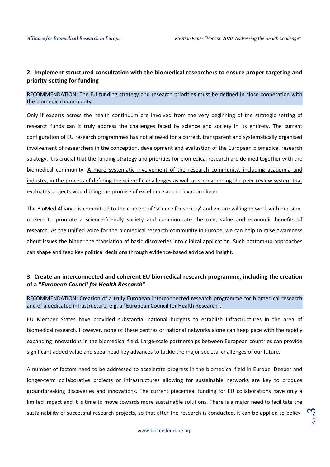# 2. Implement structured consultation with the biomedical researchers to ensure proper targeting and priority-setting for funding

### RECOMMENDATION: The EU funding strategy and research priorities must be defined in close cooperation with the biomedical community.

Only if experts across the health continuum are involved from the very beginning of the strategic setting of research funds can it truly address the challenges faced by science and society in its entirety. The current configuration of EU research programmes has not allowed for a correct, transparent and systematically organised involvement of researchers in the conception, development and evaluation of the European biomedical research strategy. It is crucial that the funding strategy and priorities for biomedical research are defined together with the biomedical community. A more systematic involvement of the research community, including academia and industry, in the process of defining the scientific challenges as well as strengthening the peer review system that evaluates projects would bring the promise of excellence and innovation closer.

The BioMed Alliance is committed to the concept of 'science for society' and we are willing to work with decisionmakers to promote a science-friendly society and communicate the role, value and economic benefits of research. As the unified voice for the biomedical research community in Europe, we can help to raise awareness about issues the hinder the translation of basic discoveries into clinical application. Such bottom-up approaches can shape and feed key political decisions through evidence-based advice and insight.

# 3. Create an interconnected and coherent EU biomedical research programme, including the creation of a "European Council for Health Research"

RECOMMENDATION: Creation of a truly European interconnected research programme for biomedical research and of a dedicated infrastructure, e.g. a "European Council for Health Research".

EU Member States have provided substantial national budgets to establish infrastructures in the area of biomedical research. However, none of these centres or national networks alone can keep pace with the rapidly expanding innovations in the biomedical field. Large-scale partnerships between European countries can provide significant added value and spearhead key advances to tackle the major societal challenges of our future.

A number of factors need to be addressed to accelerate progress in the biomedical field in Europe. Deeper and longer-term collaborative projects or infrastructures allowing for sustainable networks are key to produce groundbreaking discoveries and innovations. The current piecemeal funding for EU collaborations have only a limited impact and it is time to move towards more sustainable solutions. There is a major need to facilitate the sustainability of successful research projects, so that after the research is conducted, it can be applied to policy